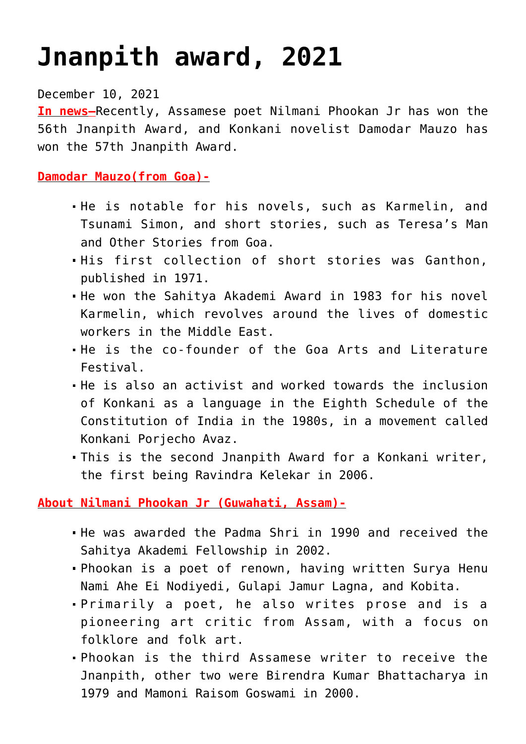## **[Jnanpith award, 2021](https://journalsofindia.com/jnanpith-award-2021/)**

December 10, 2021

**In news–**Recently, Assamese poet Nilmani Phookan Jr has won the 56th Jnanpith Award, and Konkani novelist Damodar Mauzo has won the 57th Jnanpith Award.

**Damodar Mauzo(from Goa)-**

- He is notable for his novels, such as Karmelin, and Tsunami Simon, and short stories, such as Teresa's Man and Other Stories from Goa.
- His first collection of short stories was Ganthon, published in 1971.
- He won the Sahitya Akademi Award in 1983 for his novel Karmelin, which revolves around the lives of domestic workers in the Middle East.
- He is the co-founder of the Goa Arts and Literature Festival.
- He is also an activist and worked towards the inclusion of Konkani as a language in the Eighth Schedule of the Constitution of India in the 1980s, in a movement called Konkani Porjecho Avaz.
- This is the second Jnanpith Award for a Konkani writer, the first being Ravindra Kelekar in 2006.

**About Nilmani Phookan Jr (Guwahati, Assam)-**

- He was awarded the Padma Shri in 1990 and received the Sahitya Akademi Fellowship in 2002.
- Phookan is a poet of renown, having written Surya Henu Nami Ahe Ei Nodiyedi, Gulapi Jamur Lagna, and Kobita.
- Primarily a poet, he also writes prose and is a pioneering art critic from Assam, with a focus on folklore and folk art.
- Phookan is the third Assamese writer to receive the Jnanpith, other two were Birendra Kumar Bhattacharya in 1979 and Mamoni Raisom Goswami in 2000.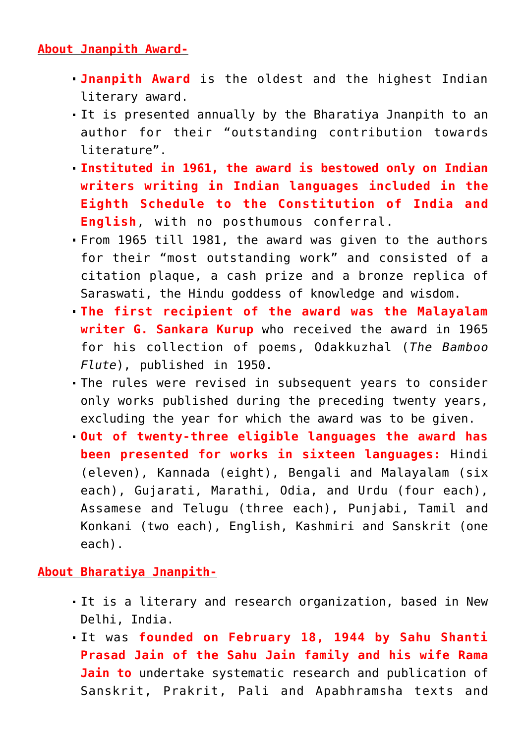## **About Jnanpith Award-**

- **Jnanpith Award** is the oldest and the highest Indian literary award.
- It is presented annually by the Bharatiya Jnanpith to an author for their "outstanding contribution towards literature".
- **Instituted in 1961, the award is bestowed only on Indian writers writing in Indian languages included in the Eighth Schedule to the Constitution of India and English**, with no posthumous conferral.
- From 1965 till 1981, the award was given to the authors for their "most outstanding work" and consisted of a citation plaque, a cash prize and a bronze replica of Saraswati, the Hindu goddess of knowledge and wisdom.
- **The first recipient of the award was the Malayalam writer G. Sankara Kurup** who received the award in 1965 for his collection of poems, Odakkuzhal (*The Bamboo Flute*), published in 1950.
- The rules were revised in subsequent years to consider only works published during the preceding twenty years, excluding the year for which the award was to be given.
- **Out of twenty-three eligible languages the award has been presented for works in sixteen languages:** Hindi (eleven), Kannada (eight), Bengali and Malayalam (six each), Gujarati, Marathi, Odia, and Urdu (four each), Assamese and Telugu (three each), Punjabi, Tamil and Konkani (two each), English, Kashmiri and Sanskrit (one each).

## **About Bharatiya Jnanpith-**

- It is a literary and research organization, based in New Delhi, India.
- It was **founded on February 18, 1944 by Sahu Shanti Prasad Jain of the Sahu Jain family and his wife Rama Jain to** undertake systematic research and publication of Sanskrit, Prakrit, Pali and Apabhramsha texts and